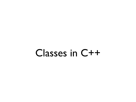### Classes in C++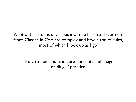A lot of this stuff is trivia, but it can be hard to discern up front. Classes in C++ are complex and have a ton of rules, most of which I look up as I go

I'll try to point out the core concepts and assign readings / practice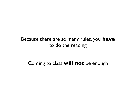#### Because there are so many rules, you **have** to do the reading

#### Coming to class **will not** be enough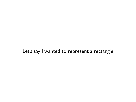#### Let's say I wanted to represent a rectangle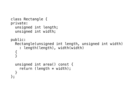```
class Rectangle { 
private: 
   unsigned int length; 
   unsigned int width; 
public: 
   Rectangle(unsigned int length, unsigned int width) 
     : length(length), width(width) 
\{ } 
   unsigned int area() const { 
    return (length * width);
   } 
};
```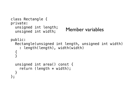```
class Rectangle { 
private: 
   unsigned int length; 
   unsigned int width; 
public: 
   Rectangle(unsigned int length, unsigned int width) 
     : length(length), width(width) 
\{ } 
   unsigned int area() const { 
    return (length * width);
   } 
}; 
                           Member variables
```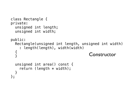```
class Rectangle { 
private: 
   unsigned int length; 
   unsigned int width; 
public: 
   Rectangle(unsigned int length, unsigned int width) 
     : length(length), width(width) 
\{ } 
   unsigned int area() const { 
    return (length * width);
   } 
}; 
                                       Constructor
```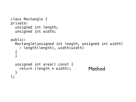```
class Rectangle { 
private: 
   unsigned int length; 
   unsigned int width; 
public: 
   Rectangle(unsigned int length, unsigned int width) 
     : length(length), width(width) 
\{ } 
   unsigned int area() const { 
    return (length * width);
   } 
}; 
                                       Method
```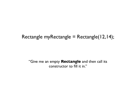#### Rectangle myRectangle = Rectangle(12,14);

"Give me an empty **Rectangle** and then call its constructor to fill it in."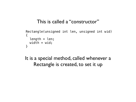#### This is called a "constructor"

```
 Rectangle(unsigned int len, unsigned int wid) 
\{ length = len; 
  width = wid; }
```
#### It is a special method, called whenever a Rectangle is created, to set it up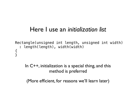### Here I use an *initialization list*

```
 Rectangle(unsigned int length, unsigned int width) 
     : length(length), width(width) 
\{ }
```
In C++, initialization is a special thing, and this method is preferred

(More efficient, for reasons we'll learn later)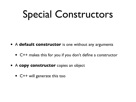### Special Constructors

- <sup>A</sup>**default constructor** is one without any arguments
	- C++ makes this for you if you don't define a constructor
- <sup>A</sup>**copy constructor** copies an object
	- C++ will generate this too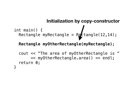#### **Initialization by copy-constructor**

```
int main() { 
Rectangle myRectangle = Refctangle(12, 14);
```
#### **Rectangle myOtherRectangle(myRectangle);**

```
 cout << "The area of myOtherRectangle is " 
        << myOtherRectangle.area() << endl; 
   return 0; 
}
```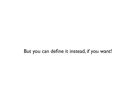#### But you can define it instead, if you want!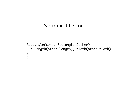#### Note: must be const…

```
 Rectangle(const Rectangle &other)
     : length(other.length), width(other.width)
\{ {
 }
```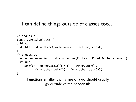#### I can define things outside of classes too…

```
// shapes.h
class CartesianPoint {
public:
   double distanceFrom(CartesianPoint &other) const;
}<br>}
// shapes.cc
double CartesianPoint::distanceFrom(CartesianPoint &other) const {
   return 
    sqrt((x - other.getX()) * (x - other.getX())+ (y - other.getY()) * (y - other.getY()));
}
```
Functions smaller than a line or two should usually go outside of the header file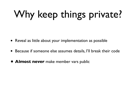## Why keep things private?

- Reveal as little about your implementation as possible
- Because if someone else assumes details, I'll break their code
- **• Almost never** make member vars public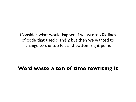Consider what would happen if we wrote 20k lines of code that used x and y, but then we wanted to change to the top left and bottom right point

#### **We'd waste a ton of time rewriting it**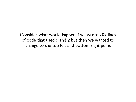Consider what would happen if we wrote 20k lines of code that used x and y, but then we wanted to change to the top left and bottom right point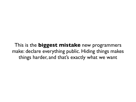This is the **biggest mistake** new programmers make: declare everything public. Hiding things makes things harder, and that's exactly what we want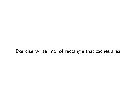#### Exercise: write impl of rectangle that caches area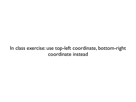#### In class exercise: use top-left coordinate, bottom-right coordinate instead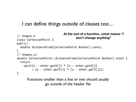#### I can define things outside of classes too…

```
// shapes.h
class CartesianPoint {
public:
   double distanceFrom(CartesianPoint &other) const;
}<br>}
// shapes.cc
double CartesianPoint::distanceFrom(CartesianPoint &other) const {
   return 
    sqrt((x - other.getX()) * (x - other.getX())+ (y - other.getY()) * (y - other.getY()));
}
                             At the end of a function, const means "I 
                                     don't change anything"
```
Functions smaller than a line or two should usually go outside of the header file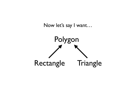

Now let's say I want…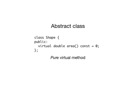```
class Shape {
public:
 virtual double area() const = 0;
};
```
*Pure* virtual method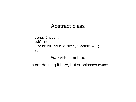```
class Shape {
public:
  virtual double area() const = 0;
};
```
*Pure* virtual method

I'm not defining it here, but subclasses **must**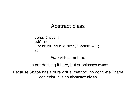```
class Shape {
public:
  virtual double area() const = 0;
};
```
*Pure* virtual method

I'm not defining it here, but subclasses **must**

Because Shape has a pure virtual method, no concrete Shape can exist, it is an **abstract class**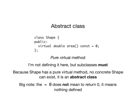```
class Shape {
public:
  virtual double area() const = 0;
};
```
*Pure* virtual method

I'm not defining it here, but subclasses **must**

Because Shape has a pure virtual method, no concrete Shape can exist, it is an **abstract class**

Big note: the  $= 0$  does **not** mean to return 0, it means nothing defined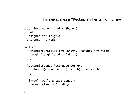This syntax means "Rectangle inherits from Shape"

```
class Rectangle : public Shape {
private:
   unsigned int length;
   unsigned int width;
public:
   Rectangle(unsigned int length, unsigned int width)
   : length(length), width(width)
   { }
   Rectangle(const Rectangle &other)
     : length(other.length), width(other.width)
   { }
   virtual double area() const {
     return (length * width);
  }
};
```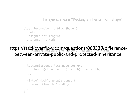This syntax means "Rectangle inherits from Shape"

class Rectangle : public Shape { private: unsigned int length; unsigned int width;

#### erbiatz Rectangle(unsigned int length, unsigned int width) between-private-public-and-protected-inheritance { } https://stackoverflow.com/questions/860339/difference-

```
 Rectangle(const Rectangle &other)
     : length(other.length), width(other.width)
   { }
   virtual double area() const {
     return (length * width);
 }
};
```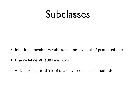### Subclasses

- Inherit all member variables, can modify public / protected ones
- Can redefine **virtual** methods
	- It may help to think of these as "redefinable" methods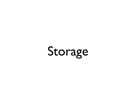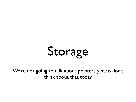# Storage

We're not going to talk about pointers yet, so don't think about that today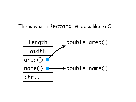#### This is what a Rectangle looks like to C++

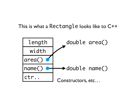#### This is what a Rectangle looks like to C++

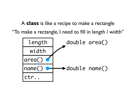A **class** is like a recipe to make a rectangle "To make a rectangle, I need to fill in length / width"

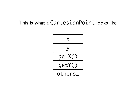#### This is what a CartesianPoint looks like

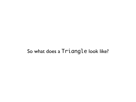#### So what does a Triangle look like?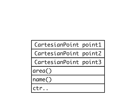CartesianPoint point1

CartesianPoint point2

CartesianPoint point3

area()

name()

ctr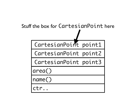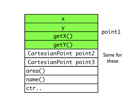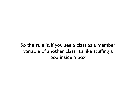So the rule is, if you see a class as a member variable of another class, it's like stuffing a box inside a box